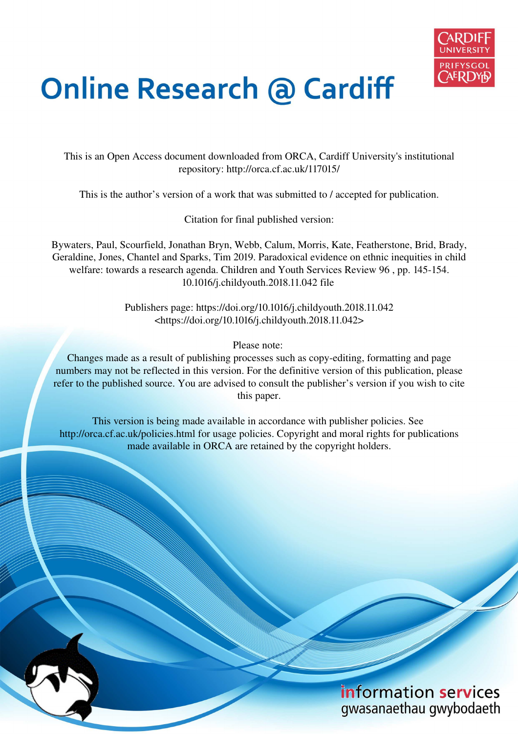

# **Online Research @ Cardiff**

This is an Open Access document downloaded from ORCA, Cardiff University's institutional repository: http://orca.cf.ac.uk/117015/

This is the author's version of a work that was submitted to / accepted for publication.

Citation for final published version:

Bywaters, Paul, Scourfield, Jonathan Bryn, Webb, Calum, Morris, Kate, Featherstone, Brid, Brady, Geraldine, Jones, Chantel and Sparks, Tim 2019. Paradoxical evidence on ethnic inequities in child welfare: towards a research agenda. Children and Youth Services Review 96 , pp. 145-154. 10.1016/j.childyouth.2018.11.042 file

> Publishers page: https://doi.org/10.1016/j.childyouth.2018.11.042 <https://doi.org/10.1016/j.childyouth.2018.11.042>

> > Please note:

Changes made as a result of publishing processes such as copy-editing, formatting and page numbers may not be reflected in this version. For the definitive version of this publication, please refer to the published source. You are advised to consult the publisher's version if you wish to cite this paper.

This version is being made available in accordance with publisher policies. See http://orca.cf.ac.uk/policies.html for usage policies. Copyright and moral rights for publications made available in ORCA are retained by the copyright holders.

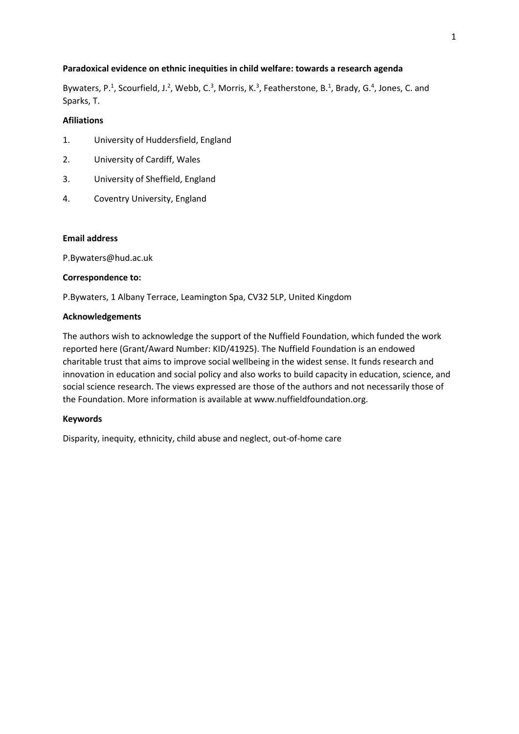# **Paradoxical evidence on ethnic inequities in child welfare: towards a research agenda**

Bywaters, P.<sup>1</sup>, Scourfield, J.<sup>2</sup>, Webb, C.<sup>3</sup>, Morris, K.<sup>3</sup>, Featherstone, B.<sup>1</sup>, Brady, G.<sup>4</sup>, Jones, C. and Sparks, T.

# **Afiliations**

- 1. University of Huddersfield, England
- 2. University of Cardiff, Wales
- 3. University of Sheffield, England
- 4. Coventry University, England

# **Email address**

P.Bywaters@hud.ac.uk

# **Correspondence to:**

P.Bywaters, 1 Albany Terrace, Leamington Spa, CV32 5LP, United Kingdom

# **Acknowledgements**

The authors wish to acknowledge the support of the Nuffield Foundation, which funded the work reported here (Grant/Award Number: KID/41925). The Nuffield Foundation is an endowed charitable trust that aims to improve social wellbeing in the widest sense. It funds research and innovation in education and social policy and also works to build capacity in education, science, and social science research. The views expressed are those of the authors and not necessarily those of the Foundation. More information is available at www.nuffieldfoundation.org.

## **Keywords**

Disparity, inequity, ethnicity, child abuse and neglect, out-of-home care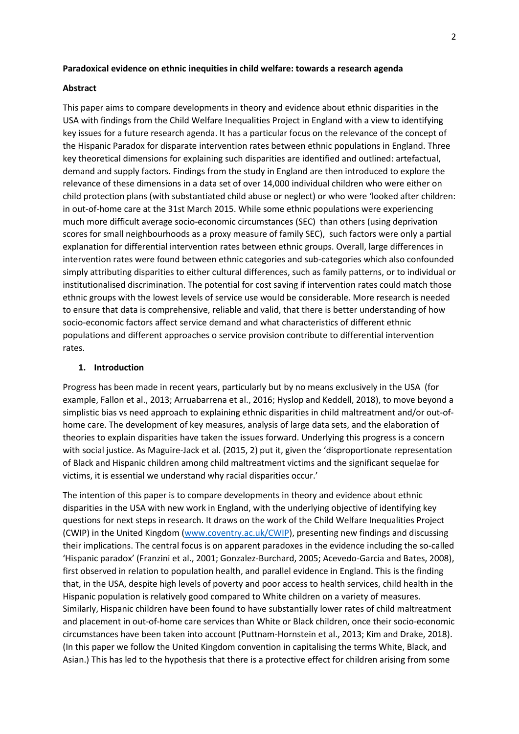#### **Paradoxical evidence on ethnic inequities in child welfare: towards a research agenda**

#### **Abstract**

This paper aims to compare developments in theory and evidence about ethnic disparities in the USA with findings from the Child Welfare Inequalities Project in England with a view to identifying key issues for a future research agenda. It has a particular focus on the relevance of the concept of the Hispanic Paradox for disparate intervention rates between ethnic populations in England. Three key theoretical dimensions for explaining such disparities are identified and outlined: artefactual, demand and supply factors. Findings from the study in England are then introduced to explore the relevance of these dimensions in a data set of over 14,000 individual children who were either on child protection plans (with substantiated child abuse or neglect) or who were 'looked after children: in out-of-home care at the 31st March 2015. While some ethnic populations were experiencing much more difficult average socio-economic circumstances (SEC) than others (using deprivation scores for small neighbourhoods as a proxy measure of family SEC), such factors were only a partial explanation for differential intervention rates between ethnic groups. Overall, large differences in intervention rates were found between ethnic categories and sub-categories which also confounded simply attributing disparities to either cultural differences, such as family patterns, or to individual or institutionalised discrimination. The potential for cost saving if intervention rates could match those ethnic groups with the lowest levels of service use would be considerable. More research is needed to ensure that data is comprehensive, reliable and valid, that there is better understanding of how socio-economic factors affect service demand and what characteristics of different ethnic populations and different approaches o service provision contribute to differential intervention rates.

#### **1. Introduction**

Progress has been made in recent years, particularly but by no means exclusively in the USA (for example, Fallon et al., 2013; Arruabarrena et al., 2016; Hyslop and Keddell, 2018), to move beyond a simplistic bias vs need approach to explaining ethnic disparities in child maltreatment and/or out-ofhome care. The development of key measures, analysis of large data sets, and the elaboration of theories to explain disparities have taken the issues forward. Underlying this progress is a concern with social justice. As Maguire-Jack et al. (2015, 2) put it, given the 'disproportionate representation of Black and Hispanic children among child maltreatment victims and the significant sequelae for victims, it is essential we understand why racial disparities occur.'

The intention of this paper is to compare developments in theory and evidence about ethnic disparities in the USA with new work in England, with the underlying objective of identifying key questions for next steps in research. It draws on the work of the Child Welfare Inequalities Project (CWIP) in the United Kingdom [\(www.coventry.ac.uk/CWIP\)](http://www.coventry.ac.uk/CWIP), presenting new findings and discussing their implications. The central focus is on apparent paradoxes in the evidence including the so-called 'Hispanic paradox' (Franzini et al., 2001; Gonzalez-Burchard, 2005; Acevedo-Garcia and Bates, 2008), first observed in relation to population health, and parallel evidence in England. This is the finding that, in the USA, despite high levels of poverty and poor access to health services, child health in the Hispanic population is relatively good compared to White children on a variety of measures. Similarly, Hispanic children have been found to have substantially lower rates of child maltreatment and placement in out-of-home care services than White or Black children, once their socio-economic circumstances have been taken into account (Puttnam-Hornstein et al., 2013; Kim and Drake, 2018). (In this paper we follow the United Kingdom convention in capitalising the terms White, Black, and Asian.) This has led to the hypothesis that there is a protective effect for children arising from some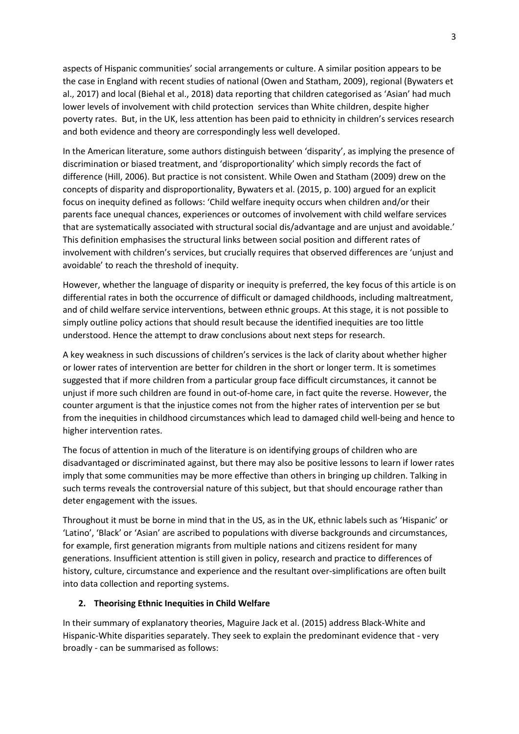aspects of Hispanic communities' social arrangements or culture. A similar position appears to be the case in England with recent studies of national (Owen and Statham, 2009), regional (Bywaters et al., 2017) and local (Biehal et al., 2018) data reporting that children categorised as 'Asian' had much lower levels of involvement with child protection services than White children, despite higher poverty rates. But, in the UK, less attention has been paid to ethnicity in children's services research and both evidence and theory are correspondingly less well developed.

In the American literature, some authors distinguish between 'disparity', as implying the presence of discrimination or biased treatment, and 'disproportionality' which simply records the fact of difference (Hill, 2006). But practice is not consistent. While Owen and Statham (2009) drew on the concepts of disparity and disproportionality, Bywaters et al. (2015, p. 100) argued for an explicit focus on inequity defined as follows: 'Child welfare inequity occurs when children and/or their parents face unequal chances, experiences or outcomes of involvement with child welfare services that are systematically associated with structural social dis/advantage and are unjust and avoidable.' This definition emphasises the structural links between social position and different rates of involvement with children's services, but crucially requires that observed differences are 'unjust and avoidable' to reach the threshold of inequity.

However, whether the language of disparity or inequity is preferred, the key focus of this article is on differential rates in both the occurrence of difficult or damaged childhoods, including maltreatment, and of child welfare service interventions, between ethnic groups. At this stage, it is not possible to simply outline policy actions that should result because the identified inequities are too little understood. Hence the attempt to draw conclusions about next steps for research.

A key weakness in such discussions of children's services is the lack of clarity about whether higher or lower rates of intervention are better for children in the short or longer term. It is sometimes suggested that if more children from a particular group face difficult circumstances, it cannot be unjust if more such children are found in out-of-home care, in fact quite the reverse. However, the counter argument is that the injustice comes not from the higher rates of intervention per se but from the inequities in childhood circumstances which lead to damaged child well-being and hence to higher intervention rates.

The focus of attention in much of the literature is on identifying groups of children who are disadvantaged or discriminated against, but there may also be positive lessons to learn if lower rates imply that some communities may be more effective than others in bringing up children. Talking in such terms reveals the controversial nature of this subject, but that should encourage rather than deter engagement with the issues.

Throughout it must be borne in mind that in the US, as in the UK, ethnic labels such as 'Hispanic' or 'Latino', 'Black' or 'Asian' are ascribed to populations with diverse backgrounds and circumstances, for example, first generation migrants from multiple nations and citizens resident for many generations. Insufficient attention is still given in policy, research and practice to differences of history, culture, circumstance and experience and the resultant over-simplifications are often built into data collection and reporting systems.

## 2. Theorising Ethnic Inequities in Child Welfare

In their summary of explanatory theories, Maguire Jack et al. (2015) address Black-White and Hispanic-White disparities separately. They seek to explain the predominant evidence that - very broadly - can be summarised as follows: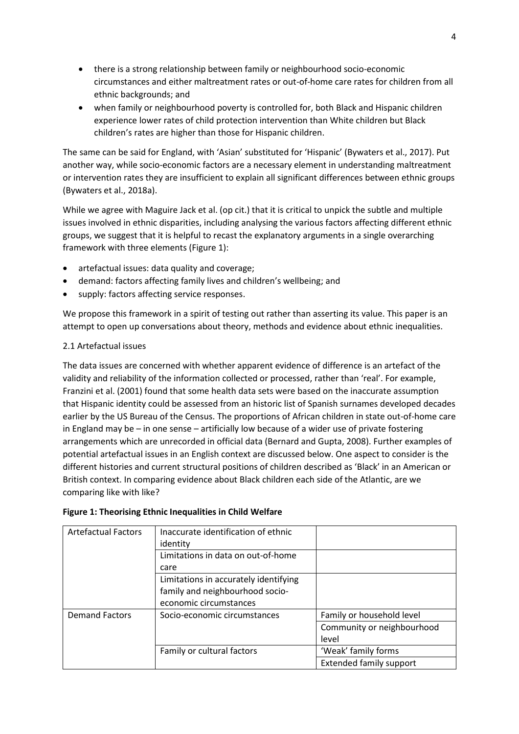- there is a strong relationship between family or neighbourhood socio-economic circumstances and either maltreatment rates or out-of-home care rates for children from all ethnic backgrounds; and
- when family or neighbourhood poverty is controlled for, both Black and Hispanic children experience lower rates of child protection intervention than White children but Black children's rates are higher than those for Hispanic children.

The same can be said for England, with 'Asian' substituted for 'Hispanic' (Bywaters et al., 2017). Put another way, while socio-economic factors are a necessary element in understanding maltreatment or intervention rates they are insufficient to explain all significant differences between ethnic groups (Bywaters et al., 2018a).

While we agree with Maguire Jack et al. (op cit.) that it is critical to unpick the subtle and multiple issues involved in ethnic disparities, including analysing the various factors affecting different ethnic groups, we suggest that it is helpful to recast the explanatory arguments in a single overarching framework with three elements (Figure 1):

- artefactual issues: data quality and coverage;
- demand: factors affecting family lives and children's wellbeing; and
- supply: factors affecting service responses.

We propose this framework in a spirit of testing out rather than asserting its value. This paper is an attempt to open up conversations about theory, methods and evidence about ethnic inequalities.

#### 2.1 Artefactual issues

The data issues are concerned with whether apparent evidence of difference is an artefact of the validity and reliability of the information collected or processed, rather than 'real'. For example, Franzini et al. (2001) found that some health data sets were based on the inaccurate assumption that Hispanic identity could be assessed from an historic list of Spanish surnames developed decades earlier by the US Bureau of the Census. The proportions of African children in state out-of-home care in England may be  $-$  in one sense  $-$  artificially low because of a wider use of private fostering arrangements which are unrecorded in official data (Bernard and Gupta, 2008). Further examples of potential artefactual issues in an English context are discussed below. One aspect to consider is the different histories and current structural positions of children described as 'Black' in an American or British context. In comparing evidence about Black children each side of the Atlantic, are we comparing like with like?

| <b>Artefactual Factors</b> | Inaccurate identification of ethnic<br>identity |                                |
|----------------------------|-------------------------------------------------|--------------------------------|
|                            | Limitations in data on out-of-home              |                                |
|                            | care                                            |                                |
|                            | Limitations in accurately identifying           |                                |
|                            | family and neighbourhood socio-                 |                                |
|                            | economic circumstances                          |                                |
| <b>Demand Factors</b>      | Socio-economic circumstances                    | Family or household level      |
|                            |                                                 | Community or neighbourhood     |
|                            |                                                 | level                          |
|                            | Family or cultural factors                      | 'Weak' family forms            |
|                            |                                                 | <b>Extended family support</b> |

#### Figure 1: Theorising Ethnic Inequalities in Child Welfare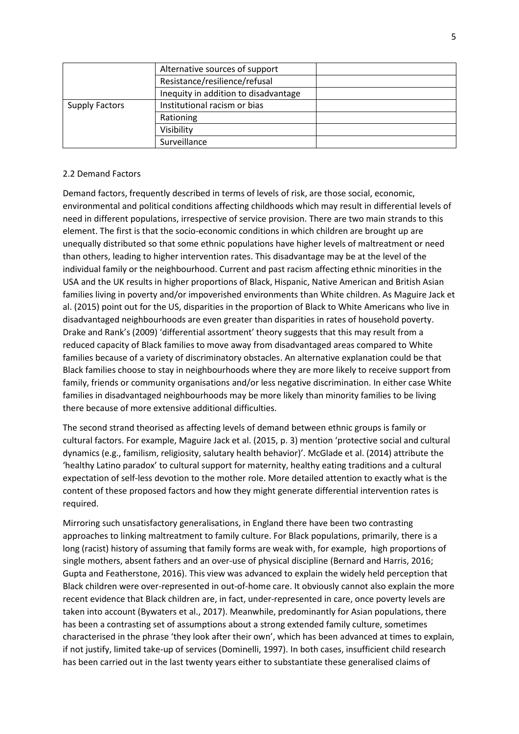|                       | Alternative sources of support       |  |
|-----------------------|--------------------------------------|--|
|                       | Resistance/resilience/refusal        |  |
|                       | Inequity in addition to disadvantage |  |
| <b>Supply Factors</b> | Institutional racism or bias         |  |
|                       | Rationing                            |  |
|                       | Visibility                           |  |
|                       | Surveillance                         |  |

## 2.2 Demand Factors

Demand factors, frequently described in terms of levels of risk, are those social, economic, environmental and political conditions affecting childhoods which may result in differential levels of need in different populations, irrespective of service provision. There are two main strands to this element. The first is that the socio-economic conditions in which children are brought up are unequally distributed so that some ethnic populations have higher levels of maltreatment or need than others, leading to higher intervention rates. This disadvantage may be at the level of the individual family or the neighbourhood. Current and past racism affecting ethnic minorities in the USA and the UK results in higher proportions of Black, Hispanic, Native American and British Asian families living in poverty and/or impoverished environments than White children. As Maguire Jack et al. (2015) point out for the US, disparities in the proportion of Black to White Americans who live in disadvantaged neighbourhoods are even greater than disparities in rates of household poverty. Drake and Rank's (2009) 'differential assortment' theory suggests that this may result from a reduced capacity of Black families to move away from disadvantaged areas compared to White families because of a variety of discriminatory obstacles. An alternative explanation could be that Black families choose to stay in neighbourhoods where they are more likely to receive support from family, friends or community organisations and/or less negative discrimination. In either case White families in disadvantaged neighbourhoods may be more likely than minority families to be living there because of more extensive additional difficulties.

The second strand theorised as affecting levels of demand between ethnic groups is family or cultural factors. For example, Maguire Jack et al. (2015, p. 3) mention 'protective social and cultural dynamics (e.g., familism, religiosity, salutary health behavior)'. McGlade et al. (2014) attribute the 'healthy Latino paradox' to cultural support for maternity, healthy eating traditions and a cultural expectation of self-less devotion to the mother role. More detailed attention to exactly what is the content of these proposed factors and how they might generate differential intervention rates is required.

Mirroring such unsatisfactory generalisations, in England there have been two contrasting approaches to linking maltreatment to family culture. For Black populations, primarily, there is a long (racist) history of assuming that family forms are weak with, for example, high proportions of single mothers, absent fathers and an over-use of physical discipline (Bernard and Harris, 2016; Gupta and Featherstone, 2016). This view was advanced to explain the widely held perception that Black children were over-represented in out-of-home care. It obviously cannot also explain the more recent evidence that Black children are, in fact, under-represented in care, once poverty levels are taken into account (Bywaters et al., 2017). Meanwhile, predominantly for Asian populations, there has been a contrasting set of assumptions about a strong extended family culture, sometimes characterised in the phrase 'they look after their own', which has been advanced at times to explain, if not justify, limited take-up of services (Dominelli, 1997). In both cases, insufficient child research has been carried out in the last twenty years either to substantiate these generalised claims of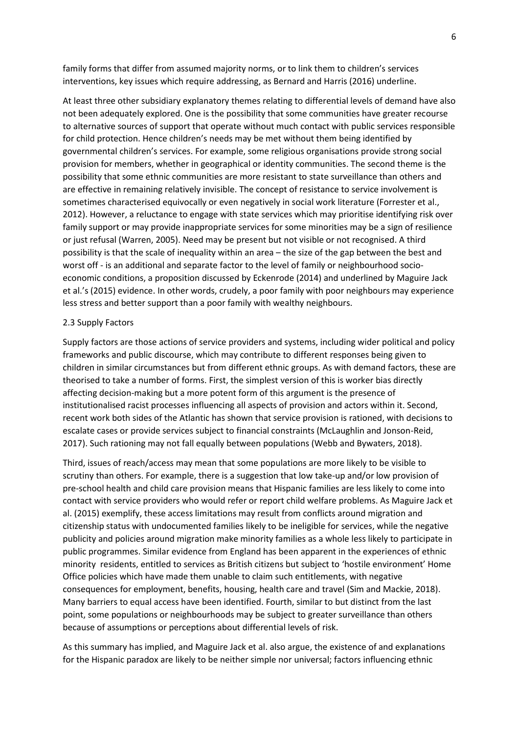family forms that differ from assumed majority norms, or to link them to children's services interventions, key issues which require addressing, as Bernard and Harris (2016) underline.

At least three other subsidiary explanatory themes relating to differential levels of demand have also not been adequately explored. One is the possibility that some communities have greater recourse to alternative sources of support that operate without much contact with public services responsible for child protection. Hence children's needs may be met without them being identified by governmental children's services. For example, some religious organisations provide strong social provision for members, whether in geographical or identity communities. The second theme is the possibility that some ethnic communities are more resistant to state surveillance than others and are effective in remaining relatively invisible. The concept of resistance to service involvement is sometimes characterised equivocally or even negatively in social work literature (Forrester et al., 2012). However, a reluctance to engage with state services which may prioritise identifying risk over family support or may provide inappropriate services for some minorities may be a sign of resilience or just refusal (Warren, 2005). Need may be present but not visible or not recognised. A third possibility is that the scale of inequality within an area - the size of the gap between the best and worst off - is an additional and separate factor to the level of family or neighbourhood socioeconomic conditions, a proposition discussed by Eckenrode (2014) and underlined by Maguire Jack et al.'s (2015) evidence. In other words, crudely, a poor family with poor neighbours may experience less stress and better support than a poor family with wealthy neighbours.

#### 2.3 Supply Factors

Supply factors are those actions of service providers and systems, including wider political and policy frameworks and public discourse, which may contribute to different responses being given to children in similar circumstances but from different ethnic groups. As with demand factors, these are theorised to take a number of forms. First, the simplest version of this is worker bias directly affecting decision-making but a more potent form of this argument is the presence of institutionalised racist processes influencing all aspects of provision and actors within it. Second, recent work both sides of the Atlantic has shown that service provision is rationed, with decisions to escalate cases or provide services subject to financial constraints (McLaughlin and Jonson-Reid, 2017). Such rationing may not fall equally between populations (Webb and Bywaters, 2018).

Third, issues of reach/access may mean that some populations are more likely to be visible to scrutiny than others. For example, there is a suggestion that low take-up and/or low provision of pre-school health and child care provision means that Hispanic families are less likely to come into contact with service providers who would refer or report child welfare problems. As Maguire Jack et al. (2015) exemplify, these access limitations may result from conflicts around migration and citizenship status with undocumented families likely to be ineligible for services, while the negative publicity and policies around migration make minority families as a whole less likely to participate in public programmes. Similar evidence from England has been apparent in the experiences of ethnic minority residents, entitled to services as British citizens but subject to 'hostile environment' Home Office policies which have made them unable to claim such entitlements, with negative consequences for employment, benefits, housing, health care and travel (Sim and Mackie, 2018). Many barriers to equal access have been identified. Fourth, similar to but distinct from the last point, some populations or neighbourhoods may be subject to greater surveillance than others because of assumptions or perceptions about differential levels of risk.

As this summary has implied, and Maguire Jack et al. also argue, the existence of and explanations for the Hispanic paradox are likely to be neither simple nor universal; factors influencing ethnic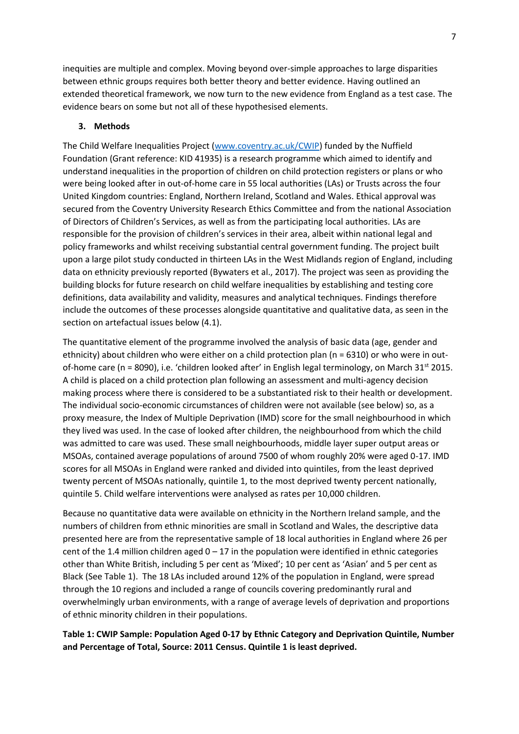inequities are multiple and complex. Moving beyond over-simple approaches to large disparities between ethnic groups requires both better theory and better evidence. Having outlined an extended theoretical framework, we now turn to the new evidence from England as a test case. The evidence bears on some but not all of these hypothesised elements.

#### 3. Methods

The Child Welfare Inequalities Project (www.coventry.ac.uk/CWIP) funded by the Nuffield Foundation (Grant reference: KID 41935) is a research programme which aimed to identify and understand inequalities in the proportion of children on child protection registers or plans or who were being looked after in out-of-home care in 55 local authorities (LAs) or Trusts across the four United Kingdom countries: England, Northern Ireland, Scotland and Wales. Ethical approval was secured from the Coventry University Research Ethics Committee and from the national Association of Directors of Children's Services, as well as from the participating local authorities. LAs are responsible for the provision of children's services in their area, albeit within national legal and policy frameworks and whilst receiving substantial central government funding. The project built upon a large pilot study conducted in thirteen LAs in the West Midlands region of England, including data on ethnicity previously reported (Bywaters et al., 2017). The project was seen as providing the building blocks for future research on child welfare inequalities by establishing and testing core definitions, data availability and validity, measures and analytical techniques. Findings therefore include the outcomes of these processes alongside quantitative and qualitative data, as seen in the section on artefactual issues below (4.1).

The quantitative element of the programme involved the analysis of basic data (age, gender and ethnicity) about children who were either on a child protection plan ( $n = 6310$ ) or who were in outof-home care (n = 8090), i.e. 'children looked after' in English legal terminology, on March  $31^{st}$  2015. A child is placed on a child protection plan following an assessment and multi-agency decision making process where there is considered to be a substantiated risk to their health or development. The individual socio-economic circumstances of children were not available (see below) so, as a proxy measure, the Index of Multiple Deprivation (IMD) score for the small neighbourhood in which they lived was used. In the case of looked after children, the neighbourhood from which the child was admitted to care was used. These small neighbourhoods, middle layer super output areas or MSOAs, contained average populations of around 7500 of whom roughly 20% were aged 0-17. IMD scores for all MSOAs in England were ranked and divided into quintiles, from the least deprived twenty percent of MSOAs nationally, quintile 1, to the most deprived twenty percent nationally, quintile 5. Child welfare interventions were analysed as rates per 10,000 children.

Because no quantitative data were available on ethnicity in the Northern Ireland sample, and the numbers of children from ethnic minorities are small in Scotland and Wales, the descriptive data presented here are from the representative sample of 18 local authorities in England where 26 per cent of the 1.4 million children aged  $0 - 17$  in the population were identified in ethnic categories other than White British, including 5 per cent as 'Mixed'; 10 per cent as 'Asian' and 5 per cent as Black (See Table 1). The 18 LAs included around 12% of the population in England, were spread through the 10 regions and included a range of councils covering predominantly rural and overwhelmingly urban environments, with a range of average levels of deprivation and proportions of ethnic minority children in their populations.

Table 1: CWIP Sample: Population Aged 0-17 by Ethnic Category and Deprivation Quintile, Number and Percentage of Total, Source: 2011 Census. Quintile 1 is least deprived.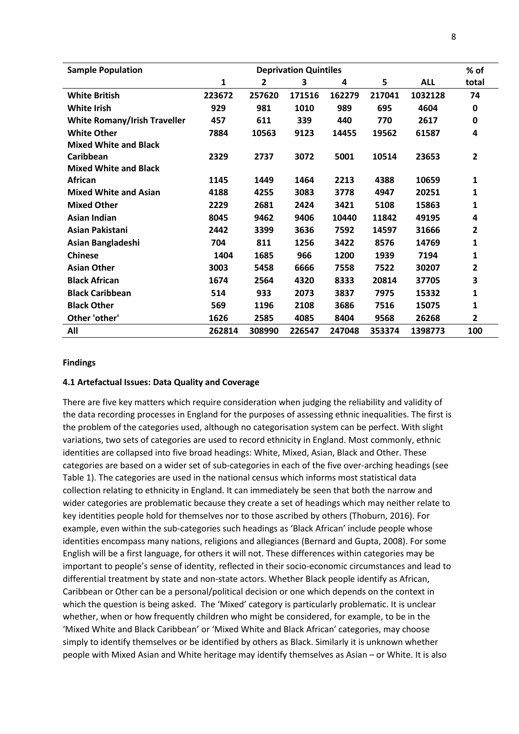| <b>Sample Population</b>            | <b>Deprivation Quintiles</b> |        |        |        |        |            | % of           |
|-------------------------------------|------------------------------|--------|--------|--------|--------|------------|----------------|
|                                     | 1                            | 2      | 3      | 4      | 5      | <b>ALL</b> | total          |
| <b>White British</b>                | 223672                       | 257620 | 171516 | 162279 | 217041 | 1032128    | 74             |
| <b>White Irish</b>                  | 929                          | 981    | 1010   | 989    | 695    | 4604       | 0              |
| <b>White Romany/Irish Traveller</b> | 457                          | 611    | 339    | 440    | 770    | 2617       | 0              |
| <b>White Other</b>                  | 7884                         | 10563  | 9123   | 14455  | 19562  | 61587      | 4              |
| <b>Mixed White and Black</b>        |                              |        |        |        |        |            |                |
| Caribbean                           | 2329                         | 2737   | 3072   | 5001   | 10514  | 23653      | $\overline{2}$ |
| <b>Mixed White and Black</b>        |                              |        |        |        |        |            |                |
| African                             | 1145                         | 1449   | 1464   | 2213   | 4388   | 10659      | 1              |
| <b>Mixed White and Asian</b>        | 4188                         | 4255   | 3083   | 3778   | 4947   | 20251      | 1              |
| <b>Mixed Other</b>                  | 2229                         | 2681   | 2424   | 3421   | 5108   | 15863      | 1              |
| <b>Asian Indian</b>                 | 8045                         | 9462   | 9406   | 10440  | 11842  | 49195      | 4              |
| Asian Pakistani                     | 2442                         | 3399   | 3636   | 7592   | 14597  | 31666      | 2              |
| Asian Bangladeshi                   | 704                          | 811    | 1256   | 3422   | 8576   | 14769      | 1              |
| <b>Chinese</b>                      | 1404                         | 1685   | 966    | 1200   | 1939   | 7194       | 1              |
| <b>Asian Other</b>                  | 3003                         | 5458   | 6666   | 7558   | 7522   | 30207      | 2              |
| <b>Black African</b>                | 1674                         | 2564   | 4320   | 8333   | 20814  | 37705      | 3              |
| <b>Black Caribbean</b>              | 514                          | 933    | 2073   | 3837   | 7975   | 15332      | 1              |
| <b>Black Other</b>                  | 569                          | 1196   | 2108   | 3686   | 7516   | 15075      | 1              |
| Other 'other'                       | 1626                         | 2585   | 4085   | 8404   | 9568   | 26268      | $\overline{2}$ |
| All                                 | 262814                       | 308990 | 226547 | 247048 | 353374 | 1398773    | 100            |

## **Findings**

#### **4.1 Artefactual Issues: Data Quality and Coverage**

There are five key matters which require consideration when judging the reliability and validity of the data recording processes in England for the purposes of assessing ethnic inequalities. The first is the problem of the categories used, although no categorisation system can be perfect. With slight variations, two sets of categories are used to record ethnicity in England. Most commonly, ethnic identities are collapsed into five broad headings: White, Mixed, Asian, Black and Other. These categories are based on a wider set of sub-categories in each of the five over-arching headings (see Table 1). The categories are used in the national census which informs most statistical data collection relating to ethnicity in England. It can immediately be seen that both the narrow and wider categories are problematic because they create a set of headings which may neither relate to key identities people hold for themselves nor to those ascribed by others (Thoburn, 2016). For example, even within the sub-categories such headings as 'Black African' include people whose identities encompass many nations, religions and allegiances (Bernard and Gupta, 2008). For some English will be a first language, for others it will not. These differences within categories may be important to people's sense of identity, reflected in their socio-economic circumstances and lead to differential treatment by state and non-state actors. Whether Black people identify as African, Caribbean or Other can be a personal/political decision or one which depends on the context in which the question is being asked. The 'Mixed' category is particularly problematic. It is unclear whether, when or how frequently children who might be considered, for example, to be in the 'Mixed White and Black Caribbean' or 'Mixed White and Black African' categories, may choose simply to identify themselves or be identified by others as Black. Similarly it is unknown whether people with Mixed Asian and White heritage may identify themselves as Asian – or White. It is also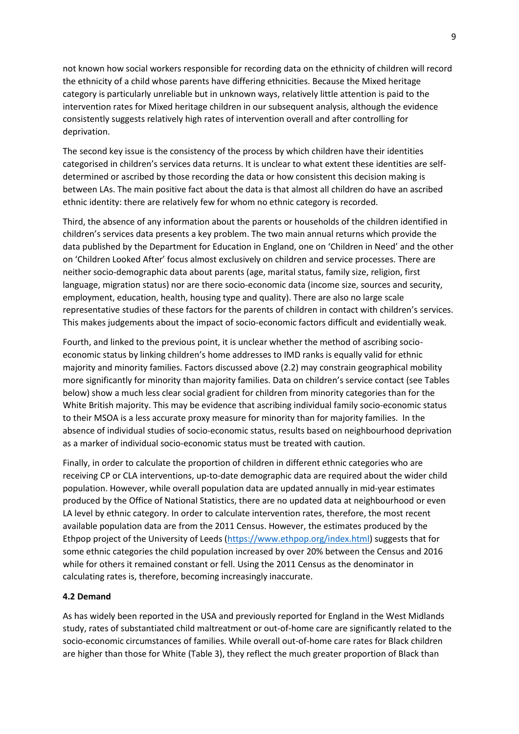not known how social workers responsible for recording data on the ethnicity of children will record the ethnicity of a child whose parents have differing ethnicities. Because the Mixed heritage category is particularly unreliable but in unknown ways, relatively little attention is paid to the intervention rates for Mixed heritage children in our subsequent analysis, although the evidence consistently suggests relatively high rates of intervention overall and after controlling for deprivation.

The second key issue is the consistency of the process by which children have their identities categorised in children's services data returns. It is unclear to what extent these identities are selfdetermined or ascribed by those recording the data or how consistent this decision making is between LAs. The main positive fact about the data is that almost all children do have an ascribed ethnic identity: there are relatively few for whom no ethnic category is recorded.

Third, the absence of any information about the parents or households of the children identified in children's services data presents a key problem. The two main annual returns which provide the data published by the Department for Education in England, one on 'Children in Need' and the other on 'Children Looked After' focus almost exclusively on children and service processes. There are neither socio-demographic data about parents (age, marital status, family size, religion, first language, migration status) nor are there socio-economic data (income size, sources and security, employment, education, health, housing type and quality). There are also no large scale representative studies of these factors for the parents of children in contact with children's services. This makes judgements about the impact of socio-economic factors difficult and evidentially weak.

Fourth, and linked to the previous point, it is unclear whether the method of ascribing socioeconomic status by linking children's home addresses to IMD ranks is equally valid for ethnic majority and minority families. Factors discussed above (2.2) may constrain geographical mobility more significantly for minority than majority families. Data on children's service contact (see Tables below) show a much less clear social gradient for children from minority categories than for the White British majority. This may be evidence that ascribing individual family socio-economic status to their MSOA is a less accurate proxy measure for minority than for majority families. In the absence of individual studies of socio-economic status, results based on neighbourhood deprivation as a marker of individual socio-economic status must be treated with caution.

Finally, in order to calculate the proportion of children in different ethnic categories who are receiving CP or CLA interventions, up-to-date demographic data are required about the wider child population. However, while overall population data are updated annually in mid-year estimates produced by the Office of National Statistics, there are no updated data at neighbourhood or even LA level by ethnic category. In order to calculate intervention rates, therefore, the most recent available population data are from the 2011 Census. However, the estimates produced by the Ethpop project of the University of Leeds (https://www.ethpop.org/index.html) suggests that for some ethnic categories the child population increased by over 20% between the Census and 2016 while for others it remained constant or fell. Using the 2011 Census as the denominator in calculating rates is, therefore, becoming increasingly inaccurate.

## 4.2 Demand

As has widely been reported in the USA and previously reported for England in the West Midlands study, rates of substantiated child maltreatment or out-of-home care are significantly related to the socio-economic circumstances of families. While overall out-of-home care rates for Black children are higher than those for White (Table 3), they reflect the much greater proportion of Black than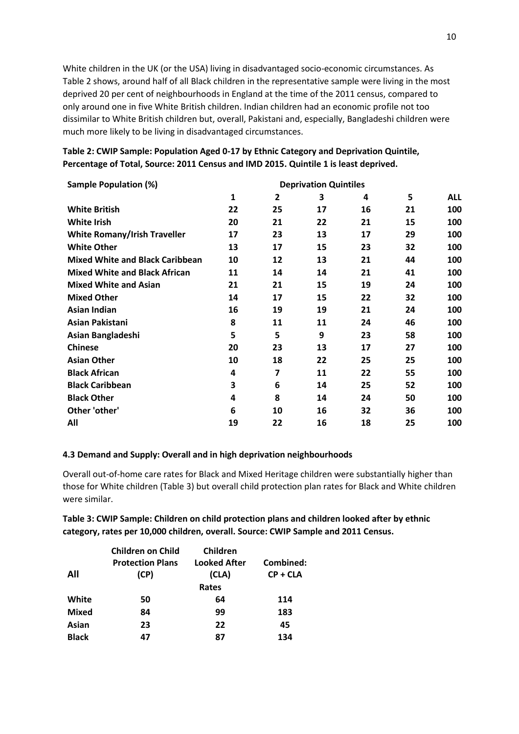White children in the UK (or the USA) living in disadvantaged socio-economic circumstances. As Table 2 shows, around half of all Black children in the representative sample were living in the most deprived 20 per cent of neighbourhoods in England at the time of the 2011 census, compared to only around one in five White British children. Indian children had an economic profile not too dissimilar to White British children but, overall, Pakistani and, especially, Bangladeshi children were much more likely to be living in disadvantaged circumstances.

| <b>Sample Population (%)</b>           |    |    | <b>Deprivation Quintiles</b> |    |    |            |
|----------------------------------------|----|----|------------------------------|----|----|------------|
|                                        | 1  | 2  | 3                            | 4  | 5  | <b>ALL</b> |
| <b>White British</b>                   | 22 | 25 | 17                           | 16 | 21 | 100        |
| <b>White Irish</b>                     | 20 | 21 | 22                           | 21 | 15 | 100        |
| <b>White Romany/Irish Traveller</b>    | 17 | 23 | 13                           | 17 | 29 | 100        |
| <b>White Other</b>                     | 13 | 17 | 15                           | 23 | 32 | 100        |
| <b>Mixed White and Black Caribbean</b> | 10 | 12 | 13                           | 21 | 44 | 100        |
| <b>Mixed White and Black African</b>   | 11 | 14 | 14                           | 21 | 41 | 100        |
| <b>Mixed White and Asian</b>           | 21 | 21 | 15                           | 19 | 24 | 100        |
| <b>Mixed Other</b>                     | 14 | 17 | 15                           | 22 | 32 | 100        |
| <b>Asian Indian</b>                    | 16 | 19 | 19                           | 21 | 24 | 100        |
| Asian Pakistani                        | 8  | 11 | 11                           | 24 | 46 | 100        |
| Asian Bangladeshi                      | 5  | 5  | 9                            | 23 | 58 | 100        |
| <b>Chinese</b>                         | 20 | 23 | 13                           | 17 | 27 | 100        |
| <b>Asian Other</b>                     | 10 | 18 | 22                           | 25 | 25 | 100        |
| <b>Black African</b>                   | 4  | 7  | 11                           | 22 | 55 | 100        |
| <b>Black Caribbean</b>                 | 3  | 6  | 14                           | 25 | 52 | 100        |
| <b>Black Other</b>                     | 4  | 8  | 14                           | 24 | 50 | 100        |
| Other 'other'                          | 6  | 10 | 16                           | 32 | 36 | 100        |
| All                                    | 19 | 22 | 16                           | 18 | 25 | 100        |

**Table 2: CWIP Sample: Population Aged 0-17 by Ethnic Category and Deprivation Quintile, Percentage of Total, Source: 2011 Census and IMD 2015. Quintile 1 is least deprived.** 

# **4.3 Demand and Supply: Overall and in high deprivation neighbourhoods**

Overall out-of-home care rates for Black and Mixed Heritage children were substantially higher than those for White children (Table 3) but overall child protection plan rates for Black and White children were similar.

**Table 3: CWIP Sample: Children on child protection plans and children looked after by ethnic category, rates per 10,000 children, overall. Source: CWIP Sample and 2011 Census.** 

|              | <b>Children on Child</b> | Children            |            |
|--------------|--------------------------|---------------------|------------|
|              | <b>Protection Plans</b>  | <b>Looked After</b> | Combined:  |
| All          | (CP)                     | (CLA)               | $CP + CLA$ |
|              |                          | Rates               |            |
| White        | 50                       | 64                  | 114        |
| <b>Mixed</b> | 84                       | 99                  | 183        |
| Asian        | 23                       | 22                  | 45         |
| <b>Black</b> | 47                       | 87                  | 134        |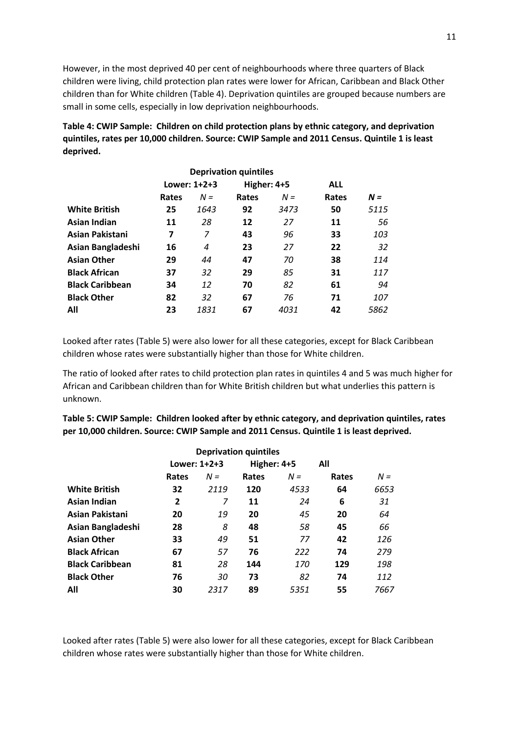However, in the most deprived 40 per cent of neighbourhoods where three quarters of Black children were living, child protection plan rates were lower for African, Caribbean and Black Other children than for White children (Table 4). Deprivation quintiles are grouped because numbers are small in some cells, especially in low deprivation neighbourhoods.

**Table 4: CWIP Sample: Children on child protection plans by ethnic category, and deprivation quintiles, rates per 10,000 children. Source: CWIP Sample and 2011 Census. Quintile 1 is least deprived.** 

| <b>Deprivation quintiles</b> |       |              |             |       |            |       |
|------------------------------|-------|--------------|-------------|-------|------------|-------|
|                              |       | Lower: 1+2+3 | Higher: 4+5 |       | <b>ALL</b> |       |
|                              | Rates | $N =$        | Rates       | $N =$ | Rates      | $N =$ |
| <b>White British</b>         | 25    | 1643         | 92          | 3473  | 50         | 5115  |
| Asian Indian                 | 11    | 28           | 12          | 27    | 11         | 56    |
| Asian Pakistani              | 7     | 7            | 43          | 96    | 33         | 103   |
| Asian Bangladeshi            | 16    | 4            | 23          | 27    | 22         | 32    |
| <b>Asian Other</b>           | 29    | 44           | 47          | 70    | 38         | 114   |
| <b>Black African</b>         | 37    | 32           | 29          | 85    | 31         | 117   |
| <b>Black Caribbean</b>       | 34    | 12           | 70          | 82    | 61         | 94    |
| <b>Black Other</b>           | 82    | 32           | 67          | 76    | 71         | 107   |
| All                          | 23    | 1831         | 67          | 4031  | 42         | 5862  |

Looked after rates (Table 5) were also lower for all these categories, except for Black Caribbean children whose rates were substantially higher than those for White children.

The ratio of looked after rates to child protection plan rates in quintiles 4 and 5 was much higher for African and Caribbean children than for White British children but what underlies this pattern is unknown.

**Table 5: CWIP Sample: Children looked after by ethnic category, and deprivation quintiles, rates per 10,000 children. Source: CWIP Sample and 2011 Census. Quintile 1 is least deprived.** 

| <b>Deprivation quintiles</b> |       |             |       |       |       |
|------------------------------|-------|-------------|-------|-------|-------|
| Lower: 1+2+3                 |       | Higher: 4+5 |       | All   |       |
| Rates                        | $N =$ | Rates       | $N =$ | Rates | $N =$ |
| 32                           | 2119  | 120         | 4533  | 64    | 6653  |
| 2                            | 7     | 11          | 24    | 6     | 31    |
| 20                           | 19    | 20          | 45    | 20    | 64    |
| 28                           | 8     | 48          | 58    | 45    | 66    |
| 33                           | 49    | 51          | 77    | 42    | 126   |
| 67                           | 57    | 76          | 222   | 74    | 279   |
| 81                           | 28    | 144         | 170   | 129   | 198   |
| 76                           | 30    | 73          | 82    | 74    | 112   |
| 30                           | 2317  | 89          | 5351  | 55    | 7667  |
|                              |       |             |       |       |       |

Looked after rates (Table 5) were also lower for all these categories, except for Black Caribbean children whose rates were substantially higher than those for White children.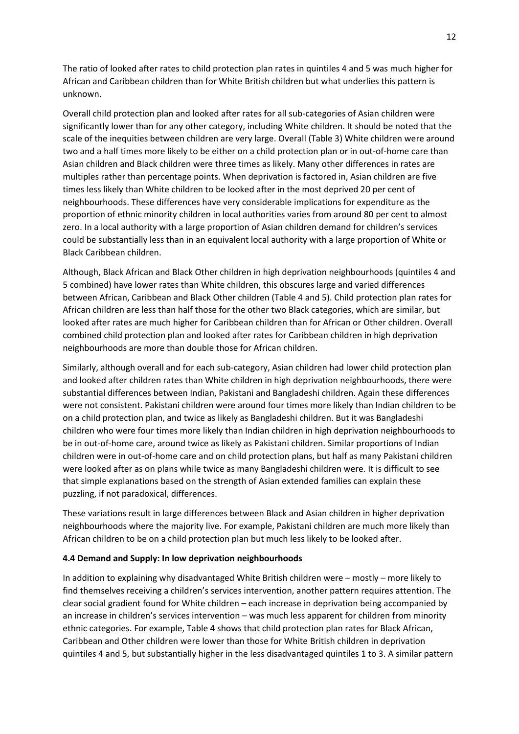The ratio of looked after rates to child protection plan rates in quintiles 4 and 5 was much higher for African and Caribbean children than for White British children but what underlies this pattern is unknown.

Overall child protection plan and looked after rates for all sub-categories of Asian children were significantly lower than for any other category, including White children. It should be noted that the scale of the inequities between children are very large. Overall (Table 3) White children were around two and a half times more likely to be either on a child protection plan or in out-of-home care than Asian children and Black children were three times as likely. Many other differences in rates are multiples rather than percentage points. When deprivation is factored in, Asian children are five times less likely than White children to be looked after in the most deprived 20 per cent of neighbourhoods. These differences have very considerable implications for expenditure as the proportion of ethnic minority children in local authorities varies from around 80 per cent to almost zero. In a local authority with a large proportion of Asian children demand for children's services could be substantially less than in an equivalent local authority with a large proportion of White or Black Caribbean children.

Although, Black African and Black Other children in high deprivation neighbourhoods (quintiles 4 and 5 combined) have lower rates than White children, this obscures large and varied differences between African, Caribbean and Black Other children (Table 4 and 5). Child protection plan rates for African children are less than half those for the other two Black categories, which are similar, but looked after rates are much higher for Caribbean children than for African or Other children. Overall combined child protection plan and looked after rates for Caribbean children in high deprivation neighbourhoods are more than double those for African children.

Similarly, although overall and for each sub-category, Asian children had lower child protection plan and looked after children rates than White children in high deprivation neighbourhoods, there were substantial differences between Indian, Pakistani and Bangladeshi children. Again these differences were not consistent. Pakistani children were around four times more likely than Indian children to be on a child protection plan, and twice as likely as Bangladeshi children. But it was Bangladeshi children who were four times more likely than Indian children in high deprivation neighbourhoods to be in out-of-home care, around twice as likely as Pakistani children. Similar proportions of Indian children were in out-of-home care and on child protection plans, but half as many Pakistani children were looked after as on plans while twice as many Bangladeshi children were. It is difficult to see that simple explanations based on the strength of Asian extended families can explain these puzzling, if not paradoxical, differences.

These variations result in large differences between Black and Asian children in higher deprivation neighbourhoods where the majority live. For example, Pakistani children are much more likely than African children to be on a child protection plan but much less likely to be looked after.

#### **4.4 Demand and Supply: In low deprivation neighbourhoods**

In addition to explaining why disadvantaged White British children were – mostly – more likely to find themselves receiving a children's services intervention, another pattern requires attention. The clear social gradient found for White children – each increase in deprivation being accompanied by an increase in children's services intervention – was much less apparent for children from minority ethnic categories. For example, Table 4 shows that child protection plan rates for Black African, Caribbean and Other children were lower than those for White British children in deprivation quintiles 4 and 5, but substantially higher in the less disadvantaged quintiles 1 to 3. A similar pattern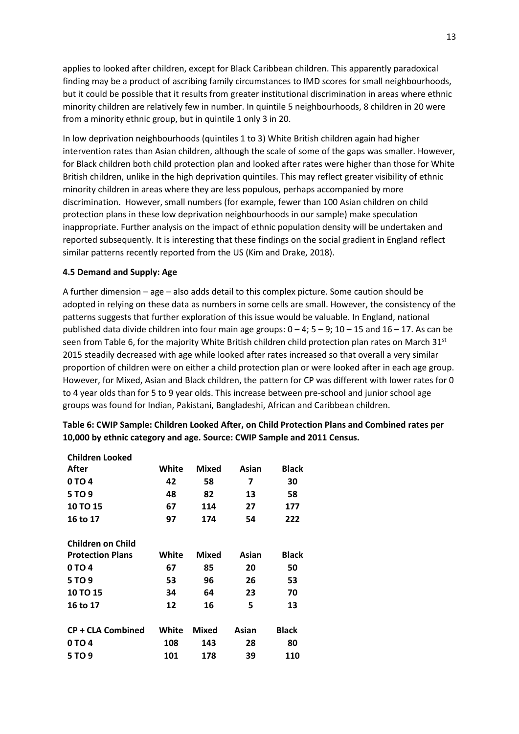applies to looked after children, except for Black Caribbean children. This apparently paradoxical finding may be a product of ascribing family circumstances to IMD scores for small neighbourhoods, but it could be possible that it results from greater institutional discrimination in areas where ethnic minority children are relatively few in number. In quintile 5 neighbourhoods, 8 children in 20 were from a minority ethnic group, but in quintile 1 only 3 in 20.

In low deprivation neighbourhoods (quintiles 1 to 3) White British children again had higher intervention rates than Asian children, although the scale of some of the gaps was smaller. However, for Black children both child protection plan and looked after rates were higher than those for White British children, unlike in the high deprivation quintiles. This may reflect greater visibility of ethnic minority children in areas where they are less populous, perhaps accompanied by more discrimination. However, small numbers (for example, fewer than 100 Asian children on child protection plans in these low deprivation neighbourhoods in our sample) make speculation inappropriate. Further analysis on the impact of ethnic population density will be undertaken and reported subsequently. It is interesting that these findings on the social gradient in England reflect similar patterns recently reported from the US (Kim and Drake, 2018).

#### **4.5 Demand and Supply: Age**

**Children Looked** 

A further dimension – age – also adds detail to this complex picture. Some caution should be adopted in relying on these data as numbers in some cells are small. However, the consistency of the patterns suggests that further exploration of this issue would be valuable. In England, national published data divide children into four main age groups:  $0 - 4$ ;  $5 - 9$ ;  $10 - 15$  and  $16 - 17$ . As can be seen from Table 6, for the majority White British children child protection plan rates on March  $31<sup>st</sup>$ 2015 steadily decreased with age while looked after rates increased so that overall a very similar proportion of children were on either a child protection plan or were looked after in each age group. However, for Mixed, Asian and Black children, the pattern for CP was different with lower rates for 0 to 4 year olds than for 5 to 9 year olds. This increase between pre-school and junior school age groups was found for Indian, Pakistani, Bangladeshi, African and Caribbean children.

| After                    | White | <b>Mixed</b> | Asian | <b>Black</b> |
|--------------------------|-------|--------------|-------|--------------|
| 0 TO 4                   | 42    | 58           | 7     | 30           |
| 5 TO 9                   | 48    | 82           | 13    | 58           |
| 10 TO 15                 | 67    | 114          | 27    | 177          |
| 16 to 17                 | 97    | 174          | 54    | 222          |
|                          |       |              |       |              |
| <b>Children on Child</b> |       |              |       |              |
| <b>Protection Plans</b>  | White | Mixed        | Asian | <b>Black</b> |
| 0 TO 4                   | 67    | 85           | 20    | 50           |
| 5 TO 9                   | 53    | 96           | 26    | 53           |
| <b>10 TO 15</b>          | 34    | 64           | 23    | 70           |
| 16 to 17                 | 12    | 16           | 5     | 13           |
|                          |       |              |       |              |
| <b>CP + CLA Combined</b> | White | Mixed        | Asian | <b>Black</b> |
| 0 TO 4                   | 108   | 143          | 28    | 80           |
| 5 TO 9                   | 101   | 178          | 39    | 110          |

**Table 6: CWIP Sample: Children Looked After, on Child Protection Plans and Combined rates per 10,000 by ethnic category and age. Source: CWIP Sample and 2011 Census.**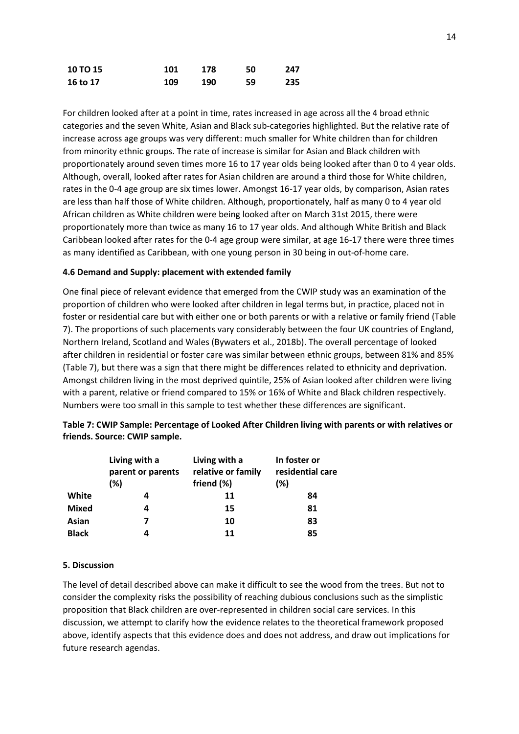| <b>10 TO 15</b> | 101 | 178 | 50 | 247 |
|-----------------|-----|-----|----|-----|
| 16 to 17        | 109 | 190 | 59 | 235 |

For children looked after at a point in time, rates increased in age across all the 4 broad ethnic categories and the seven White, Asian and Black sub-categories highlighted. But the relative rate of increase across age groups was very different: much smaller for White children than for children from minority ethnic groups. The rate of increase is similar for Asian and Black children with proportionately around seven times more 16 to 17 year olds being looked after than 0 to 4 year olds. Although, overall, looked after rates for Asian children are around a third those for White children, rates in the 0-4 age group are six times lower. Amongst 16-17 year olds, by comparison, Asian rates are less than half those of White children. Although, proportionately, half as many 0 to 4 year old African children as White children were being looked after on March 31st 2015, there were proportionately more than twice as many 16 to 17 year olds. And although White British and Black Caribbean looked after rates for the 0-4 age group were similar, at age 16-17 there were three times as many identified as Caribbean, with one young person in 30 being in out-of-home care.

#### **4.6 Demand and Supply: placement with extended family**

One final piece of relevant evidence that emerged from the CWIP study was an examination of the proportion of children who were looked after children in legal terms but, in practice, placed not in foster or residential care but with either one or both parents or with a relative or family friend (Table 7). The proportions of such placements vary considerably between the four UK countries of England, Northern Ireland, Scotland and Wales (Bywaters et al., 2018b). The overall percentage of looked after children in residential or foster care was similar between ethnic groups, between 81% and 85% (Table 7), but there was a sign that there might be differences related to ethnicity and deprivation. Amongst children living in the most deprived quintile, 25% of Asian looked after children were living with a parent, relative or friend compared to 15% or 16% of White and Black children respectively. Numbers were too small in this sample to test whether these differences are significant.

|              | Living with a<br>parent or parents<br>(%) | Living with a<br>relative or family<br>friend (%) | In foster or<br>residential care<br>(%) |
|--------------|-------------------------------------------|---------------------------------------------------|-----------------------------------------|
| White        | 4                                         | 11                                                | 84                                      |
| <b>Mixed</b> | 4                                         | 15                                                | 81                                      |
| Asian        | 7                                         | 10                                                | 83                                      |
| <b>Black</b> | 4                                         | 11                                                | 85                                      |

|                               | Table 7: CWIP Sample: Percentage of Looked After Children living with parents or with relatives or |
|-------------------------------|----------------------------------------------------------------------------------------------------|
| friends. Source: CWIP sample. |                                                                                                    |

#### **5. Discussion**

The level of detail described above can make it difficult to see the wood from the trees. But not to consider the complexity risks the possibility of reaching dubious conclusions such as the simplistic proposition that Black children are over-represented in children social care services. In this discussion, we attempt to clarify how the evidence relates to the theoretical framework proposed above, identify aspects that this evidence does and does not address, and draw out implications for future research agendas.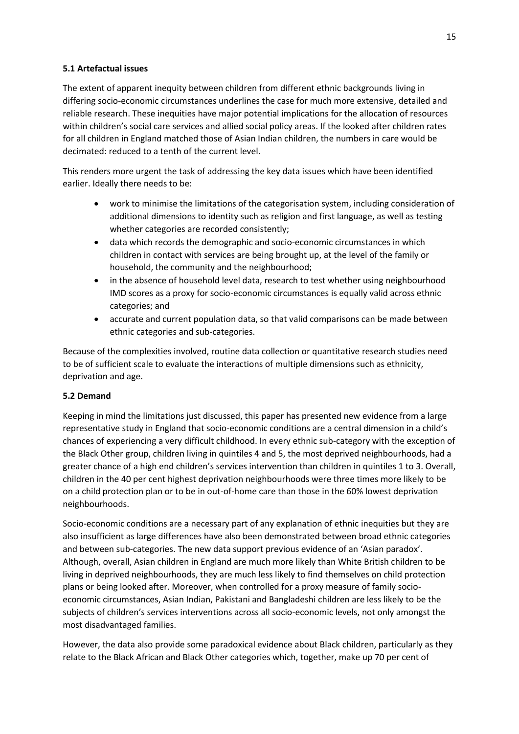# **5.1 Artefactual issues**

The extent of apparent inequity between children from different ethnic backgrounds living in differing socio-economic circumstances underlines the case for much more extensive, detailed and reliable research. These inequities have major potential implications for the allocation of resources within children's social care services and allied social policy areas. If the looked after children rates for all children in England matched those of Asian Indian children, the numbers in care would be decimated: reduced to a tenth of the current level.

This renders more urgent the task of addressing the key data issues which have been identified earlier. Ideally there needs to be:

- work to minimise the limitations of the categorisation system, including consideration of additional dimensions to identity such as religion and first language, as well as testing whether categories are recorded consistently;
- data which records the demographic and socio-economic circumstances in which children in contact with services are being brought up, at the level of the family or household, the community and the neighbourhood;
- in the absence of household level data, research to test whether using neighbourhood IMD scores as a proxy for socio-economic circumstances is equally valid across ethnic categories; and
- accurate and current population data, so that valid comparisons can be made between ethnic categories and sub-categories.

Because of the complexities involved, routine data collection or quantitative research studies need to be of sufficient scale to evaluate the interactions of multiple dimensions such as ethnicity, deprivation and age.

# **5.2 Demand**

Keeping in mind the limitations just discussed, this paper has presented new evidence from a large representative study in England that socio-economic conditions are a central dimension in a child's chances of experiencing a very difficult childhood. In every ethnic sub-category with the exception of the Black Other group, children living in quintiles 4 and 5, the most deprived neighbourhoods, had a greater chance of a high end children's services intervention than children in quintiles 1 to 3. Overall, children in the 40 per cent highest deprivation neighbourhoods were three times more likely to be on a child protection plan or to be in out-of-home care than those in the 60% lowest deprivation neighbourhoods.

Socio-economic conditions are a necessary part of any explanation of ethnic inequities but they are also insufficient as large differences have also been demonstrated between broad ethnic categories and between sub-categories. The new data support previous evidence of an 'Asian paradox'. Although, overall, Asian children in England are much more likely than White British children to be living in deprived neighbourhoods, they are much less likely to find themselves on child protection plans or being looked after. Moreover, when controlled for a proxy measure of family socioeconomic circumstances, Asian Indian, Pakistani and Bangladeshi children are less likely to be the subjects of children's services interventions across all socio-economic levels, not only amongst the most disadvantaged families.

However, the data also provide some paradoxical evidence about Black children, particularly as they relate to the Black African and Black Other categories which, together, make up 70 per cent of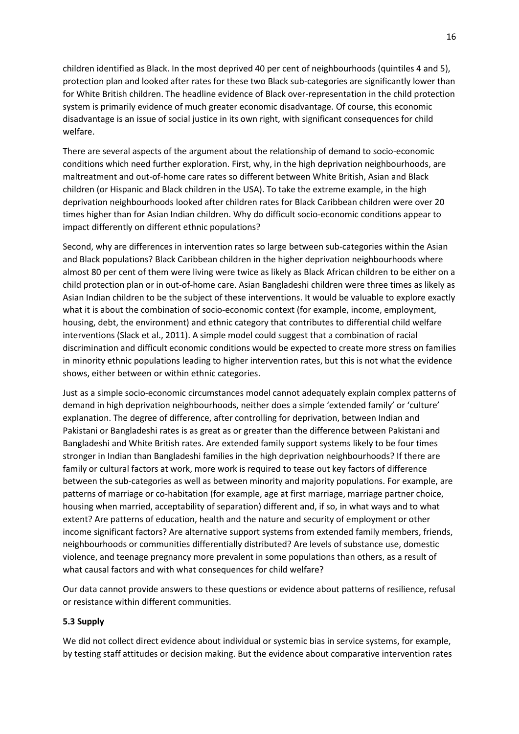children identified as Black. In the most deprived 40 per cent of neighbourhoods (quintiles 4 and 5), protection plan and looked after rates for these two Black sub-categories are significantly lower than for White British children. The headline evidence of Black over-representation in the child protection system is primarily evidence of much greater economic disadvantage. Of course, this economic disadvantage is an issue of social justice in its own right, with significant consequences for child welfare.

There are several aspects of the argument about the relationship of demand to socio-economic conditions which need further exploration. First, why, in the high deprivation neighbourhoods, are maltreatment and out-of-home care rates so different between White British, Asian and Black children (or Hispanic and Black children in the USA). To take the extreme example, in the high deprivation neighbourhoods looked after children rates for Black Caribbean children were over 20 times higher than for Asian Indian children. Why do difficult socio-economic conditions appear to impact differently on different ethnic populations?

Second, why are differences in intervention rates so large between sub-categories within the Asian and Black populations? Black Caribbean children in the higher deprivation neighbourhoods where almost 80 per cent of them were living were twice as likely as Black African children to be either on a child protection plan or in out-of-home care. Asian Bangladeshi children were three times as likely as Asian Indian children to be the subject of these interventions. It would be valuable to explore exactly what it is about the combination of socio-economic context (for example, income, employment, housing, debt, the environment) and ethnic category that contributes to differential child welfare interventions (Slack et al., 2011). A simple model could suggest that a combination of racial discrimination and difficult economic conditions would be expected to create more stress on families in minority ethnic populations leading to higher intervention rates, but this is not what the evidence shows, either between or within ethnic categories.

Just as a simple socio-economic circumstances model cannot adequately explain complex patterns of demand in high deprivation neighbourhoods, neither does a simple 'extended family' or 'culture' explanation. The degree of difference, after controlling for deprivation, between Indian and Pakistani or Bangladeshi rates is as great as or greater than the difference between Pakistani and Bangladeshi and White British rates. Are extended family support systems likely to be four times stronger in Indian than Bangladeshi families in the high deprivation neighbourhoods? If there are family or cultural factors at work, more work is required to tease out key factors of difference between the sub-categories as well as between minority and majority populations. For example, are patterns of marriage or co-habitation (for example, age at first marriage, marriage partner choice, housing when married, acceptability of separation) different and, if so, in what ways and to what extent? Are patterns of education, health and the nature and security of employment or other income significant factors? Are alternative support systems from extended family members, friends, neighbourhoods or communities differentially distributed? Are levels of substance use, domestic violence, and teenage pregnancy more prevalent in some populations than others, as a result of what causal factors and with what consequences for child welfare?

Our data cannot provide answers to these questions or evidence about patterns of resilience, refusal or resistance within different communities.

## **5.3 Supply**

We did not collect direct evidence about individual or systemic bias in service systems, for example, by testing staff attitudes or decision making. But the evidence about comparative intervention rates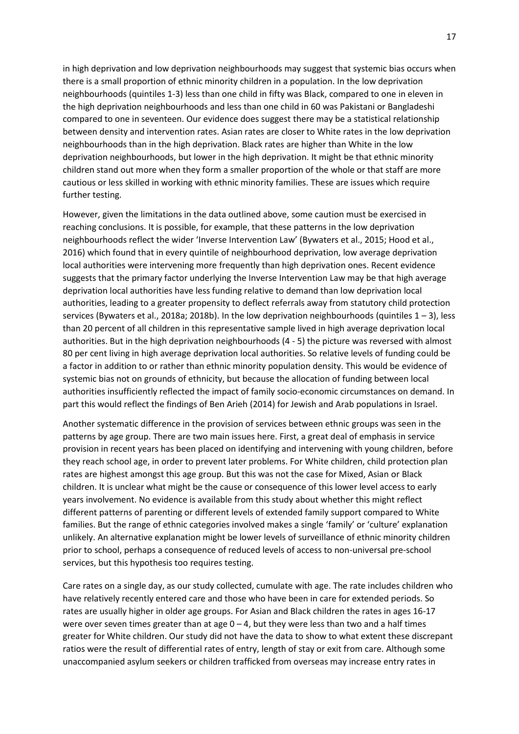in high deprivation and low deprivation neighbourhoods may suggest that systemic bias occurs when there is a small proportion of ethnic minority children in a population. In the low deprivation neighbourhoods (quintiles 1-3) less than one child in fifty was Black, compared to one in eleven in the high deprivation neighbourhoods and less than one child in 60 was Pakistani or Bangladeshi compared to one in seventeen. Our evidence does suggest there may be a statistical relationship between density and intervention rates. Asian rates are closer to White rates in the low deprivation neighbourhoods than in the high deprivation. Black rates are higher than White in the low deprivation neighbourhoods, but lower in the high deprivation. It might be that ethnic minority children stand out more when they form a smaller proportion of the whole or that staff are more cautious or less skilled in working with ethnic minority families. These are issues which require further testing.

However, given the limitations in the data outlined above, some caution must be exercised in reaching conclusions. It is possible, for example, that these patterns in the low deprivation neighbourhoods reflect the wider 'Inverse Intervention Law' (Bywaters et al., 2015; Hood et al., 2016) which found that in every quintile of neighbourhood deprivation, low average deprivation local authorities were intervening more frequently than high deprivation ones. Recent evidence suggests that the primary factor underlying the Inverse Intervention Law may be that high average deprivation local authorities have less funding relative to demand than low deprivation local authorities, leading to a greater propensity to deflect referrals away from statutory child protection services (Bywaters et al., 2018a; 2018b). In the low deprivation neighbourhoods (quintiles 1 – 3), less than 20 percent of all children in this representative sample lived in high average deprivation local authorities. But in the high deprivation neighbourhoods (4 - 5) the picture was reversed with almost 80 per cent living in high average deprivation local authorities. So relative levels of funding could be a factor in addition to or rather than ethnic minority population density. This would be evidence of systemic bias not on grounds of ethnicity, but because the allocation of funding between local authorities insufficiently reflected the impact of family socio-economic circumstances on demand. In part this would reflect the findings of Ben Arieh (2014) for Jewish and Arab populations in Israel.

Another systematic difference in the provision of services between ethnic groups was seen in the patterns by age group. There are two main issues here. First, a great deal of emphasis in service provision in recent years has been placed on identifying and intervening with young children, before they reach school age, in order to prevent later problems. For White children, child protection plan rates are highest amongst this age group. But this was not the case for Mixed, Asian or Black children. It is unclear what might be the cause or consequence of this lower level access to early years involvement. No evidence is available from this study about whether this might reflect different patterns of parenting or different levels of extended family support compared to White families. But the range of ethnic categories involved makes a single 'family' or 'culture' explanation unlikely. An alternative explanation might be lower levels of surveillance of ethnic minority children prior to school, perhaps a consequence of reduced levels of access to non-universal pre-school services, but this hypothesis too requires testing.

Care rates on a single day, as our study collected, cumulate with age. The rate includes children who have relatively recently entered care and those who have been in care for extended periods. So rates are usually higher in older age groups. For Asian and Black children the rates in ages 16-17 were over seven times greater than at age  $0 - 4$ , but they were less than two and a half times greater for White children. Our study did not have the data to show to what extent these discrepant ratios were the result of differential rates of entry, length of stay or exit from care. Although some unaccompanied asylum seekers or children trafficked from overseas may increase entry rates in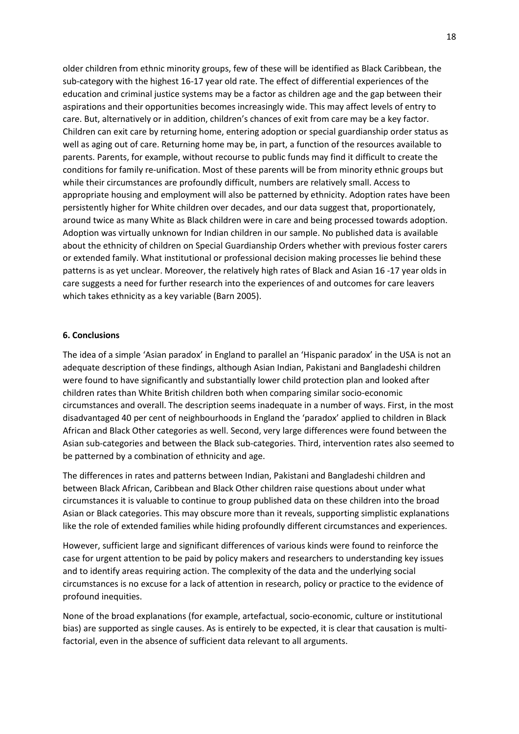older children from ethnic minority groups, few of these will be identified as Black Caribbean, the sub-category with the highest 16-17 year old rate. The effect of differential experiences of the education and criminal justice systems may be a factor as children age and the gap between their aspirations and their opportunities becomes increasingly wide. This may affect levels of entry to care. But, alternatively or in addition, children's chances of exit from care may be a key factor. Children can exit care by returning home, entering adoption or special guardianship order status as well as aging out of care. Returning home may be, in part, a function of the resources available to parents. Parents, for example, without recourse to public funds may find it difficult to create the conditions for family re-unification. Most of these parents will be from minority ethnic groups but while their circumstances are profoundly difficult, numbers are relatively small. Access to appropriate housing and employment will also be patterned by ethnicity. Adoption rates have been persistently higher for White children over decades, and our data suggest that, proportionately, around twice as many White as Black children were in care and being processed towards adoption. Adoption was virtually unknown for Indian children in our sample. No published data is available about the ethnicity of children on Special Guardianship Orders whether with previous foster carers or extended family. What institutional or professional decision making processes lie behind these patterns is as yet unclear. Moreover, the relatively high rates of Black and Asian 16 -17 year olds in care suggests a need for further research into the experiences of and outcomes for care leavers which takes ethnicity as a key variable (Barn 2005).

#### **6. Conclusions**

The idea of a simple 'Asian paradox' in England to parallel an 'Hispanic paradox' in the USA is not an adequate description of these findings, although Asian Indian, Pakistani and Bangladeshi children were found to have significantly and substantially lower child protection plan and looked after children rates than White British children both when comparing similar socio-economic circumstances and overall. The description seems inadequate in a number of ways. First, in the most disadvantaged 40 per cent of neighbourhoods in England the 'paradox' applied to children in Black African and Black Other categories as well. Second, very large differences were found between the Asian sub-categories and between the Black sub-categories. Third, intervention rates also seemed to be patterned by a combination of ethnicity and age.

The differences in rates and patterns between Indian, Pakistani and Bangladeshi children and between Black African, Caribbean and Black Other children raise questions about under what circumstances it is valuable to continue to group published data on these children into the broad Asian or Black categories. This may obscure more than it reveals, supporting simplistic explanations like the role of extended families while hiding profoundly different circumstances and experiences.

However, sufficient large and significant differences of various kinds were found to reinforce the case for urgent attention to be paid by policy makers and researchers to understanding key issues and to identify areas requiring action. The complexity of the data and the underlying social circumstances is no excuse for a lack of attention in research, policy or practice to the evidence of profound inequities.

None of the broad explanations (for example, artefactual, socio-economic, culture or institutional bias) are supported as single causes. As is entirely to be expected, it is clear that causation is multifactorial, even in the absence of sufficient data relevant to all arguments.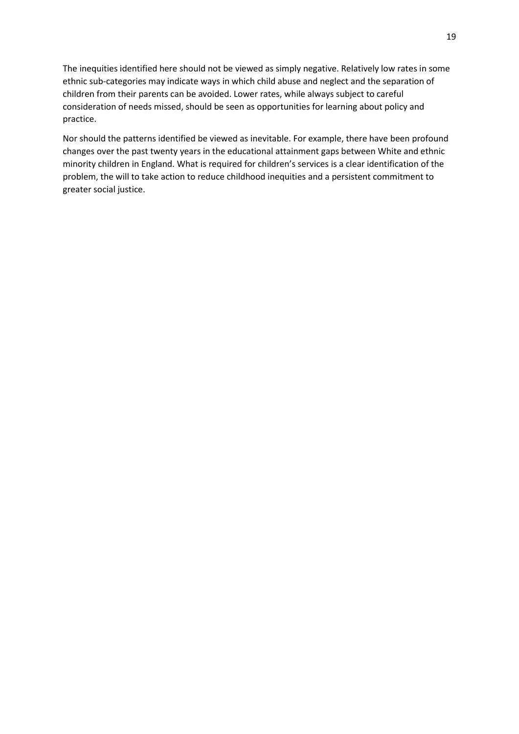The inequities identified here should not be viewed as simply negative. Relatively low rates in some ethnic sub-categories may indicate ways in which child abuse and neglect and the separation of children from their parents can be avoided. Lower rates, while always subject to careful consideration of needs missed, should be seen as opportunities for learning about policy and practice.

Nor should the patterns identified be viewed as inevitable. For example, there have been profound changes over the past twenty years in the educational attainment gaps between White and ethnic minority children in England. What is required for children's services is a clear identification of the problem, the will to take action to reduce childhood inequities and a persistent commitment to greater social justice.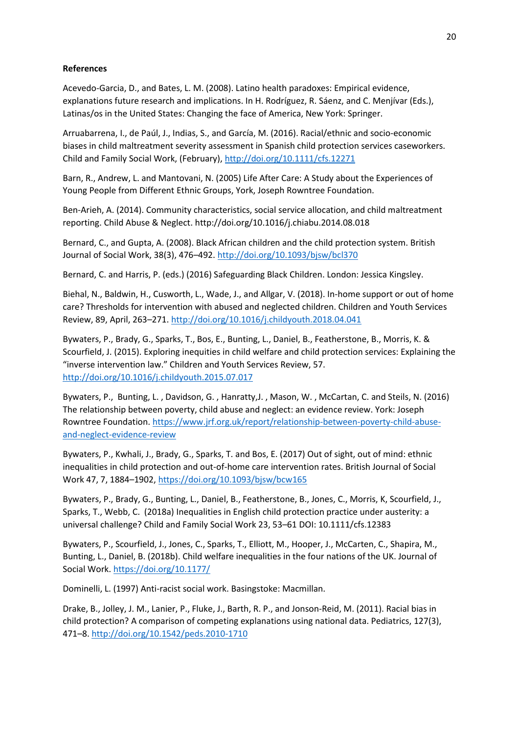## **References**

Acevedo-Garcia, D., and Bates, L. M. (2008). Latino health paradoxes: Empirical evidence, explanations future research and implications. In H. Rodríguez, R. Sáenz, and C. Menjívar (Eds.), Latinas/os in the United States: Changing the face of America, New York: Springer.

Arruabarrena, I., de Paúl, J., Indias, S., and García, M. (2016). Racial/ethnic and socio-economic biases in child maltreatment severity assessment in Spanish child protection services caseworkers. Child and Family Social Work, (February),<http://doi.org/10.1111/cfs.12271>

Barn, R., Andrew, L. and Mantovani, N. (2005) Life After Care: A Study about the Experiences of Young People from Different Ethnic Groups, York, Joseph Rowntree Foundation.

Ben-Arieh, A. (2014). Community characteristics, social service allocation, and child maltreatment reporting. Child Abuse & Neglect. http://doi.org/10.1016/j.chiabu.2014.08.018

Bernard, C., and Gupta, A. (2008). Black African children and the child protection system. British Journal of Social Work, 38(3), 476–492[. http://doi.org/10.1093/bjsw/bcl370](http://doi.org/10.1093/bjsw/bcl370)

Bernard, C. and Harris, P. (eds.) (2016) Safeguarding Black Children. London: Jessica Kingsley.

Biehal, N., Baldwin, H., Cusworth, L., Wade, J., and Allgar, V. (2018). In-home support or out of home care? Thresholds for intervention with abused and neglected children. Children and Youth Services Review, 89, April, 263–271.<http://doi.org/10.1016/j.childyouth.2018.04.041>

Bywaters, P., Brady, G., Sparks, T., Bos, E., Bunting, L., Daniel, B., Featherstone, B., Morris, K. & Scourfield, J. (2015). Exploring inequities in child welfare and child protection services: Explaining the "inverse intervention law." Children and Youth Services Review, 57. <http://doi.org/10.1016/j.childyouth.2015.07.017>

Bywaters, P., Bunting, L. , Davidson, G. , Hanratty,J. , Mason, W. , McCartan, C. and Steils, N. (2016) The relationship between poverty, child abuse and neglect: an evidence review. York: Joseph Rowntree Foundation. [https://www.jrf.org.uk/report/relationship-between-poverty-child-abuse](https://www.jrf.org.uk/report/relationship-between-poverty-child-abuse-and-neglect-evidence-review)[and-neglect-evidence-review](https://www.jrf.org.uk/report/relationship-between-poverty-child-abuse-and-neglect-evidence-review) 

Bywaters, P., Kwhali, J., Brady, G., Sparks, T. and Bos, E. (2017) Out of sight, out of mind: ethnic inequalities in child protection and out-of-home care intervention rates. British Journal of Social Work 47, 7, 1884–1902[, https://doi.org/10.1093/bjsw/bcw165](https://doi.org/10.1093/bjsw/bcw165)

Bywaters, P., Brady, G., Bunting, L., Daniel, B., Featherstone, B., Jones, C., Morris, K, Scourfield, J., Sparks, T., Webb, C. (2018a) Inequalities in English child protection practice under austerity: a universal challenge? Child and Family Social Work 23, 53–61 DOI: 10.1111/cfs.12383

Bywaters, P., Scourfield, J., Jones, C., Sparks, T., Elliott, M., Hooper, J., McCarten, C., Shapira, M., Bunting, L., Daniel, B. (2018b). Child welfare inequalities in the four nations of the UK. Journal of Social Work.<https://doi.org/10.1177/>

Dominelli, L. (1997) Anti-racist social work. Basingstoke: Macmillan.

Drake, B., Jolley, J. M., Lanier, P., Fluke, J., Barth, R. P., and Jonson-Reid, M. (2011). Racial bias in child protection? A comparison of competing explanations using national data. Pediatrics, 127(3), 471–8.<http://doi.org/10.1542/peds.2010-1710>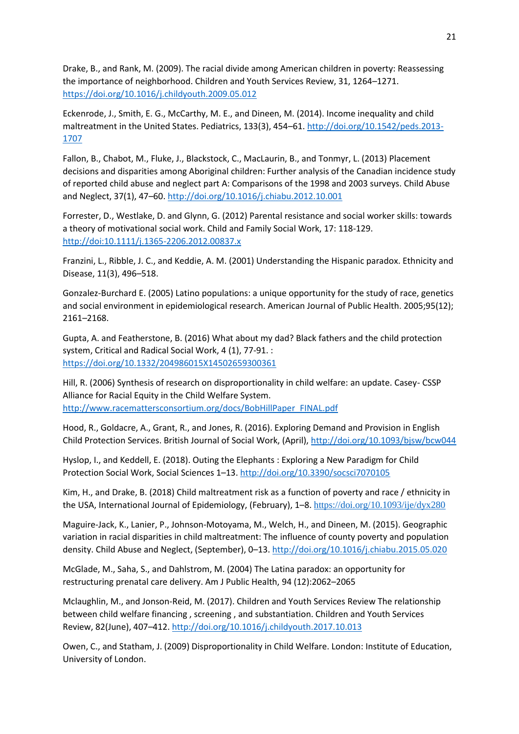Drake, B., and Rank, M. (2009). The racial divide among American children in poverty: Reassessing the importance of neighborhood. Children and Youth Services Review, 31, 1264–1271. <https://doi.org/10.1016/j.childyouth.2009.05.012>

Eckenrode, J., Smith, E. G., McCarthy, M. E., and Dineen, M. (2014). Income inequality and child maltreatment in the United States. Pediatrics, 133(3), 454–61. [http://doi.org/10.1542/peds.2013-](http://doi.org/10.1542/peds.2013-1707) [1707](http://doi.org/10.1542/peds.2013-1707) 

Fallon, B., Chabot, M., Fluke, J., Blackstock, C., MacLaurin, B., and Tonmyr, L. (2013) Placement decisions and disparities among Aboriginal children: Further analysis of the Canadian incidence study of reported child abuse and neglect part A: Comparisons of the 1998 and 2003 surveys. Child Abuse and Neglect, 37(1), 47–60.<http://doi.org/10.1016/j.chiabu.2012.10.001>

Forrester, D., Westlake, D. and Glynn, G. (2012) Parental resistance and social worker skills: towards a theory of motivational social work. Child and Family Social Work, 17: 118-129. <http://doi:10.1111/j.1365-2206.2012.00837.x>

Franzini, L., Ribble, J. C., and Keddie, A. M. (2001) Understanding the Hispanic paradox. Ethnicity and Disease, 11(3), 496–518.

Gonzalez-Burchard E. (2005) Latino populations: a unique opportunity for the study of race, genetics and social environment in epidemiological research. American Journal of Public Health. 2005;95(12); 2161–2168.

Gupta, A. and Featherstone, B. (2016) What about my dad? Black fathers and the child protection system, Critical and Radical Social Work, 4 (1), 77-91. : <https://doi.org/10.1332/204986015X14502659300361>

Hill, R. (2006) Synthesis of research on disproportionality in child welfare: an update. Casey- CSSP Alliance for Racial Equity in the Child Welfare System. [http://www.racemattersconsortium.org/docs/BobHillPaper\\_FINAL.pdf](http://www.racemattersconsortium.org/docs/BobHillPaper_FINAL.pdf) 

Hood, R., Goldacre, A., Grant, R., and Jones, R. (2016). Exploring Demand and Provision in English Child Protection Services. British Journal of Social Work, (April)[, http://doi.org/10.1093/bjsw/bcw044](http://doi.org/10.1093/bjsw/bcw044) 

Hyslop, I., and Keddell, E. (2018). Outing the Elephants : Exploring a New Paradigm for Child Protection Social Work, Social Sciences 1–13[. http://doi.org/10.3390/socsci7070105](http://doi.org/10.3390/socsci7070105) 

Kim, H., and Drake, B. (2018) Child maltreatment risk as a function of poverty and race / ethnicity in the USA, International Journal of Epidemiology, (February), 1–8. <https://doi.org/10.1093/ije/dyx280>

Maguire-Jack, K., Lanier, P., Johnson-Motoyama, M., Welch, H., and Dineen, M. (2015). Geographic variation in racial disparities in child maltreatment: The influence of county poverty and population density. Child Abuse and Neglect, (September), 0-13[. http://doi.org/10.1016/j.chiabu.2015.05.020](http://doi.org/10.1016/j.chiabu.2015.05.020)

McGlade, M., Saha, S., and Dahlstrom, M. (2004) The Latina paradox: an opportunity for restructuring prenatal care delivery. Am J Public Health, 94 (12):2062–2065

Mclaughlin, M., and Jonson-Reid, M. (2017). Children and Youth Services Review The relationship between child welfare financing , screening , and substantiation. Children and Youth Services Review, 82(June), 407–412.<http://doi.org/10.1016/j.childyouth.2017.10.013>

Owen, C., and Statham, J. (2009) Disproportionality in Child Welfare. London: Institute of Education, University of London.